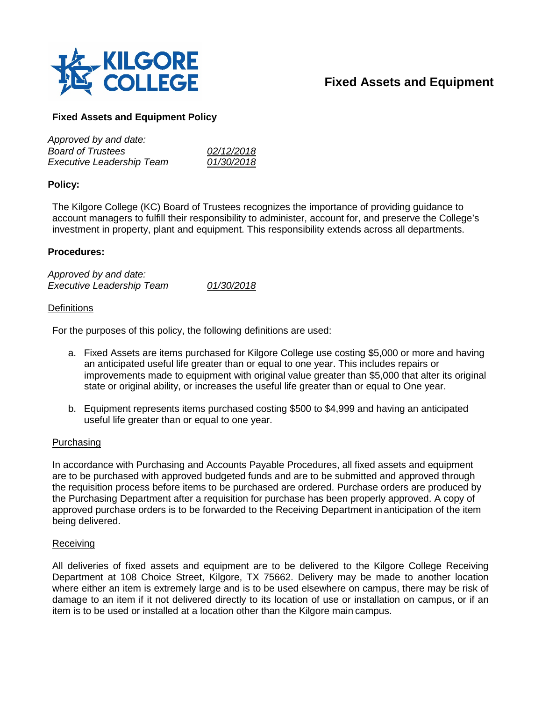

# **Fixed Assets and Equipment**

## **Fixed Assets and Equipment Policy**

| Approved by and date:            |            |
|----------------------------------|------------|
| <b>Board of Trustees</b>         | 02/12/2018 |
| <b>Executive Leadership Team</b> | 01/30/2018 |

#### **Policy:**

The Kilgore College (KC) Board of Trustees recognizes the importance of providing guidance to account managers to fulfill their responsibility to administer, account for, and preserve the College's investment in property, plant and equipment. This responsibility extends across all departments.

#### **Procedures:**

*Approved by and date: Executive Leadership Team 01/30/2018*

#### **Definitions**

For the purposes of this policy, the following definitions are used:

- a. Fixed Assets are items purchased for Kilgore College use costing \$5,000 or more and having an anticipated useful life greater than or equal to one year. This includes repairs or improvements made to equipment with original value greater than \$5,000 that alter its original state or original ability, or increases the useful life greater than or equal to One year.
- b. Equipment represents items purchased costing \$500 to \$4,999 and having an anticipated useful life greater than or equal to one year.

#### Purchasing

In accordance with Purchasing and Accounts Payable Procedures, all fixed assets and equipment are to be purchased with approved budgeted funds and are to be submitted and approved through the requisition process before items to be purchased are ordered. Purchase orders are produced by the Purchasing Department after a requisition for purchase has been properly approved. A copy of approved purchase orders is to be forwarded to the Receiving Department in anticipation of the item being delivered.

#### Receiving

All deliveries of fixed assets and equipment are to be delivered to the Kilgore College Receiving Department at 108 Choice Street, Kilgore, TX 75662. Delivery may be made to another location where either an item is extremely large and is to be used elsewhere on campus, there may be risk of damage to an item if it not delivered directly to its location of use or installation on campus, or if an item is to be used or installed at a location other than the Kilgore main campus.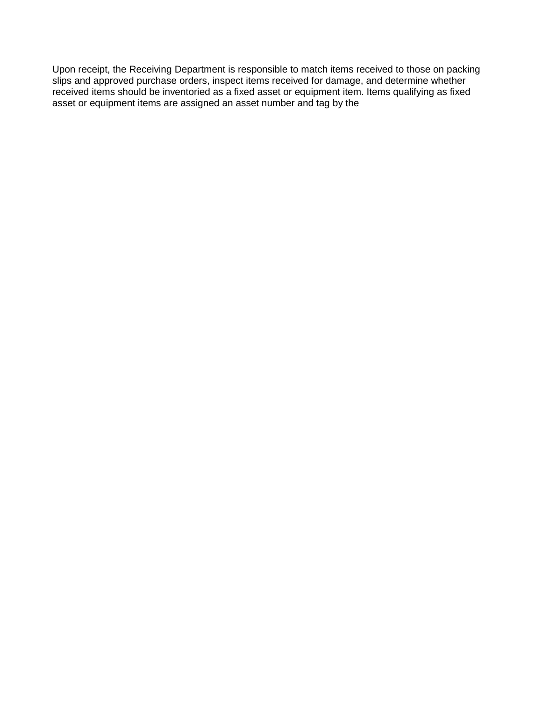Upon receipt, the Receiving Department is responsible to match items received to those on packing slips and approved purchase orders, inspect items received for damage, and determine whether received items should be inventoried as a fixed asset or equipment item. Items qualifying as fixed asset or equipment items are assigned an asset number and tag by the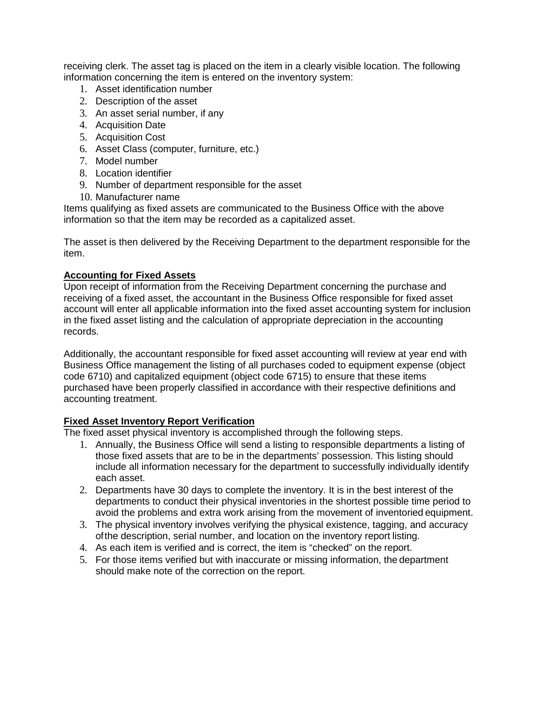receiving clerk. The asset tag is placed on the item in a clearly visible location. The following information concerning the item is entered on the inventory system:

- 1. Asset identification number
- 2. Description of the asset
- 3. An asset serial number, if any
- 4. Acquisition Date
- 5. Acquisition Cost
- 6. Asset Class (computer, furniture, etc.)
- 7. Model number
- 8. Location identifier
- 9. Number of department responsible for the asset
- 10. Manufacturer name

Items qualifying as fixed assets are communicated to the Business Office with the above information so that the item may be recorded as a capitalized asset.

The asset is then delivered by the Receiving Department to the department responsible for the item.

### **Accounting for Fixed Assets**

Upon receipt of information from the Receiving Department concerning the purchase and receiving of a fixed asset, the accountant in the Business Office responsible for fixed asset account will enter all applicable information into the fixed asset accounting system for inclusion in the fixed asset listing and the calculation of appropriate depreciation in the accounting records.

Additionally, the accountant responsible for fixed asset accounting will review at year end with Business Office management the listing of all purchases coded to equipment expense (object code 6710) and capitalized equipment (object code 6715) to ensure that these items purchased have been properly classified in accordance with their respective definitions and accounting treatment.

## **Fixed Asset Inventory Report Verification**

The fixed asset physical inventory is accomplished through the following steps.

- 1. Annually, the Business Office will send a listing to responsible departments a listing of those fixed assets that are to be in the departments' possession. This listing should include all information necessary for the department to successfully individually identify each asset.
- 2. Departments have 30 days to complete the inventory. It is in the best interest of the departments to conduct their physical inventories in the shortest possible time period to avoid the problems and extra work arising from the movement of inventoried equipment.
- 3. The physical inventory involves verifying the physical existence, tagging, and accuracy ofthe description, serial number, and location on the inventory report listing.
- 4. As each item is verified and is correct, the item is "checked" on the report.
- 5. For those items verified but with inaccurate or missing information, the department should make note of the correction on the report.